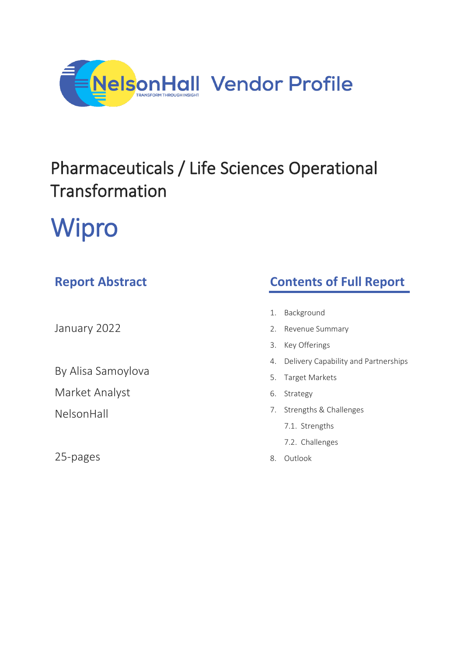

## Pharmaceuticals / Life Sciences Operational Transformation

# Wipro

### **Report Abstract**

January 2022

By Alisa Samoylova

Market Analyst

NelsonHall

25-pages

### **Contents of Full Report**

- 1. Background
- 2. Revenue Summary
- 3. Key Offerings
- 4. Delivery Capability and Partnerships
- 5. Target Markets
- 6. Strategy
- 7. Strengths & Challenges
	- 7.1. Strengths
	- 7.2. Challenges
- 8. Outlook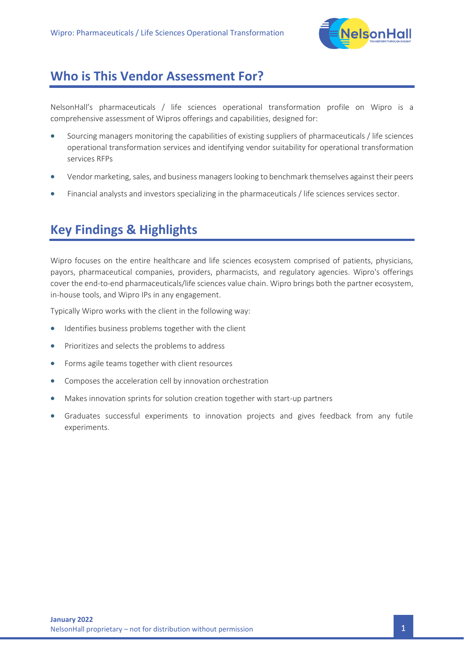

#### **Who is This Vendor Assessment For?**

NelsonHall's pharmaceuticals / life sciences operational transformation profile on Wipro is a comprehensive assessment of Wipros offerings and capabilities, designed for:

- Sourcing managers monitoring the capabilities of existing suppliers of pharmaceuticals / life sciences operational transformation services and identifying vendor suitability for operational transformation services RFPs
- Vendor marketing, sales, and business managers looking to benchmark themselves against their peers
- Financial analysts and investors specializing in the pharmaceuticals / life sciences services sector.

### **Key Findings & Highlights**

Wipro focuses on the entire healthcare and life sciences ecosystem comprised of patients, physicians, payors, pharmaceutical companies, providers, pharmacists, and regulatory agencies. Wipro's offerings cover the end-to-end pharmaceuticals/life sciences value chain. Wipro brings both the partner ecosystem, in-house tools, and Wipro IPs in any engagement.

Typically Wipro works with the client in the following way:

- Identifies business problems together with the client
- Prioritizes and selects the problems to address
- Forms agile teams together with client resources
- Composes the acceleration cell by innovation orchestration
- Makes innovation sprints for solution creation together with start-up partners
- Graduates successful experiments to innovation projects and gives feedback from any futile experiments.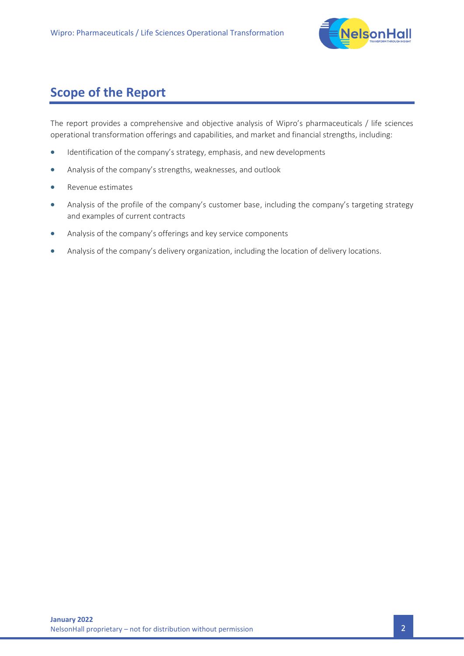

### **Scope of the Report**

The report provides a comprehensive and objective analysis of Wipro's pharmaceuticals / life sciences operational transformation offerings and capabilities, and market and financial strengths, including:

- Identification of the company's strategy, emphasis, and new developments
- Analysis of the company's strengths, weaknesses, and outlook
- Revenue estimates
- Analysis of the profile of the company's customer base, including the company's targeting strategy and examples of current contracts
- Analysis of the company's offerings and key service components
- Analysis of the company's delivery organization, including the location of delivery locations.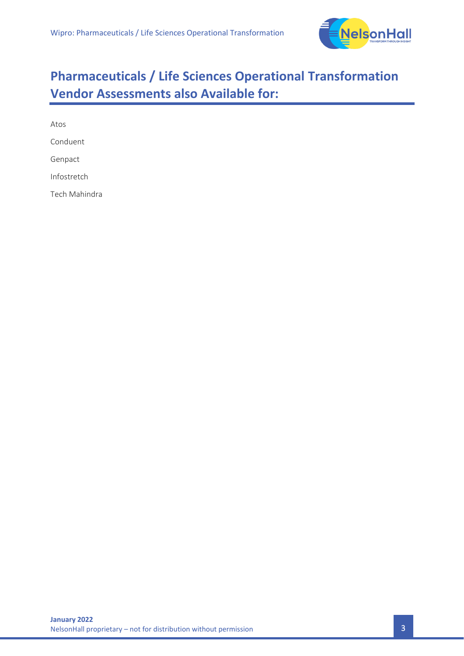

### **Pharmaceuticals / Life Sciences Operational Transformation Vendor Assessments also Available for:**

Atos Conduent Genpact Infostretch Tech Mahindra